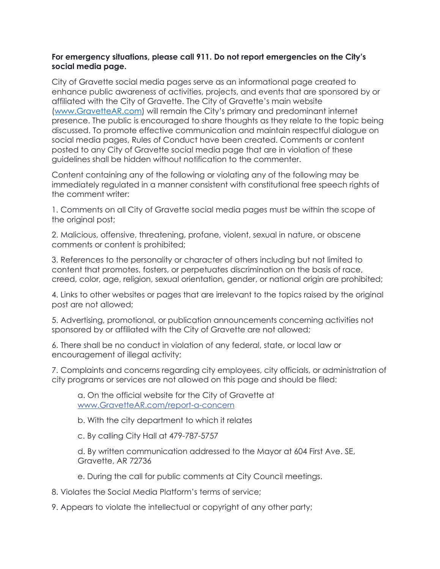## **For emergency situations, please call 911. Do not report emergencies on the City's social media page.**

City of Gravette social media pages serve as an informational page created to enhance public awareness of activities, projects, and events that are sponsored by or affiliated with the City of Gravette. The City of Gravette's main website [\(www.GravetteAR.com\)](http://www.gravettear.com/) will remain the City's primary and predominant internet presence. The public is encouraged to share thoughts as they relate to the topic being discussed. To promote effective communication and maintain respectful dialogue on social media pages, Rules of Conduct have been created. Comments or content posted to any City of Gravette social media page that are in violation of these guidelines shall be hidden without notification to the commenter.

Content containing any of the following or violating any of the following may be immediately regulated in a manner consistent with constitutional free speech rights of the comment writer:

1. Comments on all City of Gravette social media pages must be within the scope of the original post;

2. Malicious, offensive, threatening, profane, violent, sexual in nature, or obscene comments or content is prohibited;

3. References to the personality or character of others including but not limited to content that promotes, fosters, or perpetuates discrimination on the basis of race, creed, color, age, religion, sexual orientation, gender, or national origin are prohibited;

4. Links to other websites or pages that are irrelevant to the topics raised by the original post are not allowed;

5. Advertising, promotional, or publication announcements concerning activities not sponsored by or affiliated with the City of Gravette are not allowed;

6. There shall be no conduct in violation of any federal, state, or local law or encouragement of illegal activity;

7. Complaints and concerns regarding city employees, city officials, or administration of city programs or services are not allowed on this page and should be filed:

a. On the official website for the City of Gravette at www.GravetteAR.com/report-a-concern

b. With the city department to which it relates

c. By calling City Hall at 479-787-5757

d. By written communication addressed to the Mayor at 604 First Ave. SE, Gravette, AR 72736

e. During the call for public comments at City Council meetings.

- 8. Violates the Social Media Platform's terms of service;
- 9. Appears to violate the intellectual or copyright of any other party;